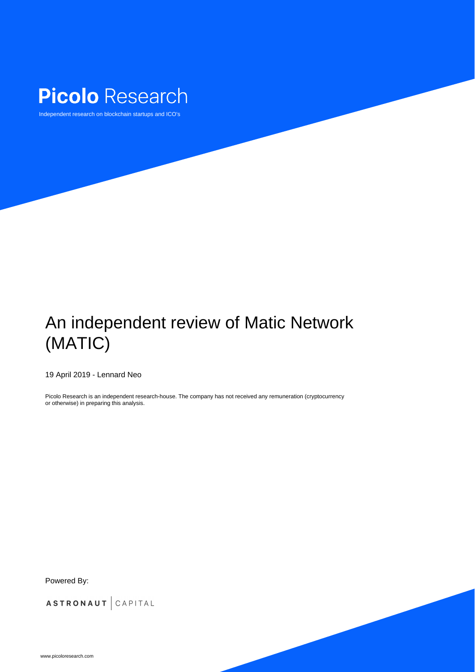

# An independent review of Matic Network (MATIC)



# 19 April 2019 - Lennard Neo

Picolo Research is an independent research-house. The company has not received any remuneration (cryptocurrency or otherwise) in preparing this analysis.

# Picolo Research

Independent research on blockchain startups and ICO's

# Powered By:

# ASTRONAUT CAPITAL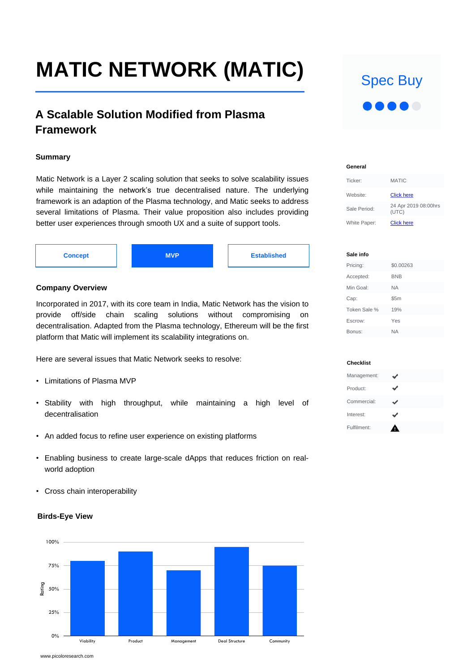# **MATIC NETWORK (MATIC)**

Spec Buy 

# **A Scalable Solution Modified from Plasma Framework**

Matic Network is a Layer 2 scaling solution that seeks to solve scalability issues while maintaining the network's true decentralised nature. The underlying framework is an adaption of the Plasma technology, and Matic seeks to address several limitations of Plasma. Their value proposition also includes providing better user experiences through smooth UX and a suite of support tools.

**Summary**

## **Company Overview**

Incorporated in 2017, with its core team in India, Matic Network has the vision to provide off/side chain scaling solutions without compromising on decentralisation. Adapted from the Plasma technology, Ethereum will be the first platform that Matic will implement its scalability integrations on.

#### Management:  $\checkmark$ ✔ Product: Commercial:  $\checkmark$  $\checkmark$ Interest: Fulfilment: $\blacktriangle$

## Here are several issues that Matic Network seeks to resolve:

- Limitations of Plasma MVP
- Stability with high throughput, while maintaining a high level of decentralisation
- An added focus to refine user experience on existing platforms
- Enabling business to create large-scale dApps that reduces friction on realworld adoption
- Cross chain interoperability



#### **Birds-Eye View**



**Sale info**

| Pricing:     | \$0.00263  |
|--------------|------------|
| Accepted:    | <b>BNB</b> |
| Min Goal:    | <b>NA</b>  |
| Cap:         | \$5m       |
| Token Sale % | 19%        |
| Escrow:      | Yes        |
| Bonus:       | <b>NA</b>  |



**Checklist**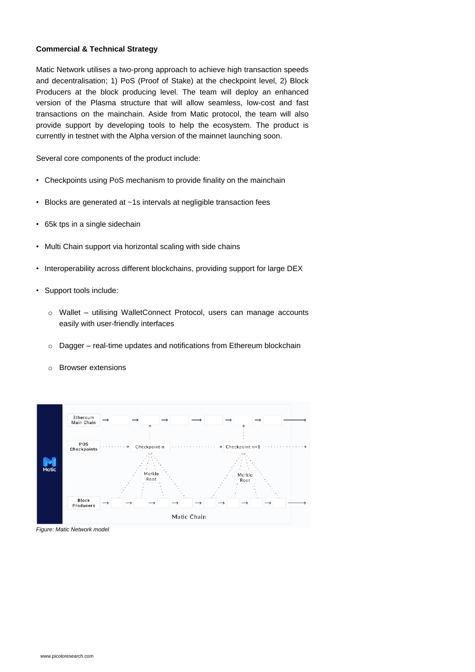#### **Commercial & Technical Strategy**

Matic Network utilises a two-prong approach to achieve high transaction speeds and decentralisation; 1) PoS (Proof of Stake) at the checkpoint level, 2) Block Producers at the block producing level. The team will deploy an enhanced version of the Plasma structure that will allow seamless, low-cost and fast transactions on the mainchain. Aside from Matic protocol, the team will also provide support by developing tools to help the ecosystem. The product is currently in testnet with the Alpha version of the mainnet launching soon.

Several core components of the product include:

- Checkpoints using PoS mechanism to provide finality on the mainchain
- Blocks are generated at ~1s intervals at negligible transaction fees
- 65k tps in a single sidechain
- Multi Chain support via horizontal scaling with side chains
- Interoperability across different blockchains, providing support for large DEX
- Support tools include:
	- o Wallet utilising WalletConnect Protocol, users can manage accounts easily with user-friendly interfaces

o Dagger – real-time updates and notifications from Ethereum blockchain

o Browser extensions



Matic Chain

*Figure: Matic Network model*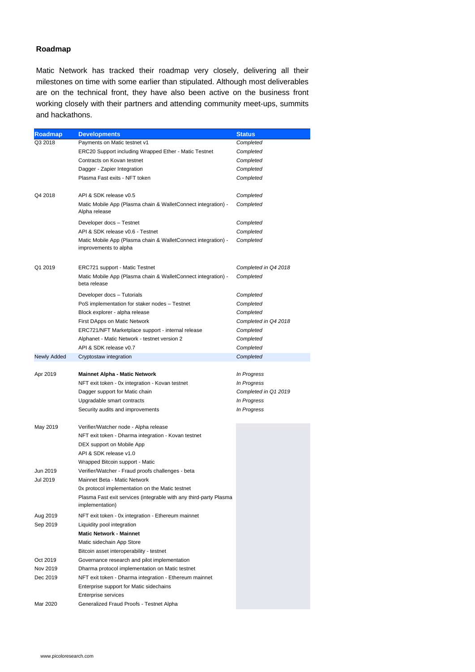#### **Roadmap**

Matic Network has tracked their roadmap very closely, delivering all their milestones on time with some earlier than stipulated. Although most deliverables are on the technical front, they have also been active on the business front working closely with their partners and attending community meet-ups, summits and hackathons.

> Developer docs – Testnet **Completed** API & SDK release v0.6 - Testnet *Completed* Matic Mobile App (Plasma chain & WalletConnect integration) improvements to alpha *Completed*

| Roadmap | <b>Developments</b>                                          | <b>Status</b> |
|---------|--------------------------------------------------------------|---------------|
| Q3 2018 | Payments on Matic testnet v1                                 | Completed     |
|         | <b>ERC20 Support including Wrapped Ether - Matic Testnet</b> | Completed     |
|         | Contracts on Kovan testnet                                   | Completed     |
|         | Dagger - Zapier Integration                                  | Completed     |

Plasma Fast exits - NFT token *Completed* 

Q4 2018 API & SDK release v0.5 *Completed* Matic Mobile App (Plasma chain & WalletConnect integration) - Alpha release *Completed*

Q1 2019 ERC721 support - Matic Testnet *Completed in Q4 2018* Matic Mobile App (Plasma chain & WalletConnect integration) beta release *Completed*

> Developer docs – Tutorials *Completed* PoS implementation for staker nodes – Testnet *Completed* Block explorer - alpha release *Completed* First DApps on Matic Network *Completed in Q4 2018* ERC721/NFT Marketplace support - internal release *Completed* Alphanet - Matic Network - testnet version 2 *Completed*

|                    | API & SDK release v0.7                                                               | Completed            |
|--------------------|--------------------------------------------------------------------------------------|----------------------|
| <b>Newly Added</b> | Cryptostaw integration                                                               | Completed            |
|                    |                                                                                      |                      |
| Apr 2019           | <b>Mainnet Alpha - Matic Network</b>                                                 | <i>In Progress</i>   |
|                    | NFT exit token - 0x integration - Kovan testnet                                      | In Progress          |
|                    | Dagger support for Matic chain                                                       | Completed in Q1 2019 |
|                    | Upgradable smart contracts                                                           | In Progress          |
|                    | Security audits and improvements                                                     | In Progress          |
| May 2019           | Verifier/Watcher node - Alpha release                                                |                      |
|                    | NFT exit token - Dharma integration - Kovan testnet                                  |                      |
|                    | DEX support on Mobile App                                                            |                      |
|                    | API & SDK release v1.0                                                               |                      |
|                    | <b>Wrapped Bitcoin support - Matic</b>                                               |                      |
| Jun 2019           | Verifier/Watcher - Fraud proofs challenges - beta                                    |                      |
| <b>Jul 2019</b>    | <b>Mainnet Beta - Matic Network</b>                                                  |                      |
|                    | Ox protocol implementation on the Matic testnet                                      |                      |
|                    | Plasma Fast exit services (integrable with any third-party Plasma<br>implementation) |                      |
| Aug 2019           | NFT exit token - 0x integration - Ethereum mainnet                                   |                      |
| Sep 2019           | Liquidity pool integration                                                           |                      |
|                    | <b>Matic Network - Mainnet</b>                                                       |                      |
|                    | Matic sidechain App Store                                                            |                      |
|                    | Bitcoin asset interoperability - testnet                                             |                      |
| Oct 2019           | Governance research and pilot implementation                                         |                      |
| Nov 2019           | Dharma protocol implementation on Matic testnet                                      |                      |
| Dec 2019           | NFT exit token - Dharma integration - Ethereum mainnet                               |                      |
|                    | <b>Enterprise support for Matic sidechains</b>                                       |                      |
|                    | <b>Enterprise services</b>                                                           |                      |
| Mar 2020           | <b>Generalized Fraud Proofs - Testnet Alpha</b>                                      |                      |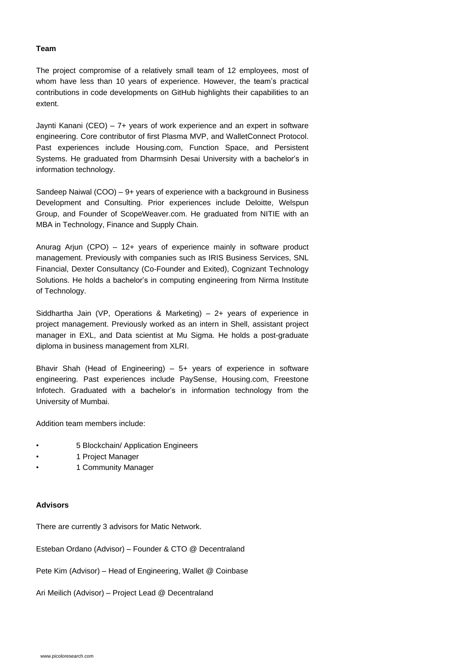The project compromise of a relatively small team of 12 employees, most of whom have less than 10 years of experience. However, the team's practical contributions in code developments on GitHub highlights their capabilities to an extent.

Jaynti Kanani (CEO) – 7+ years of work experience and an expert in software engineering. Core contributor of first Plasma MVP, and WalletConnect Protocol. Past experiences include Housing.com, Function Space, and Persistent Systems. He graduated from Dharmsinh Desai University with a bachelor's in information technology.

Sandeep Naiwal (COO) – 9+ years of experience with a background in Business Development and Consulting. Prior experiences include Deloitte, Welspun Group, and Founder of ScopeWeaver.com. He graduated from NITIE with an MBA in Technology, Finance and Supply Chain.

- 5 Blockchain/ Application Engineers
- 1 Project Manager
- 1 Community Manager

Anurag Arjun (CPO) – 12+ years of experience mainly in software product management. Previously with companies such as IRIS Business Services, SNL Financial, Dexter Consultancy (Co-Founder and Exited), Cognizant Technology Solutions. He holds a bachelor's in computing engineering from Nirma Institute of Technology.

Siddhartha Jain (VP, Operations & Marketing) – 2+ years of experience in project management. Previously worked as an intern in Shell, assistant project manager in EXL, and Data scientist at Mu Sigma. He holds a post-graduate

Bhavir Shah (Head of Engineering) – 5+ years of experience in software engineering. Past experiences include PaySense, Housing.com, Freestone Infotech. Graduated with a bachelor's in information technology from the University of Mumbai.

Addition team members include:

#### **Team**

There are currently 3 advisors for Matic Network.

Esteban Ordano (Advisor) – Founder & CTO @ Decentraland

Pete Kim (Advisor) – Head of Engineering, Wallet @ Coinbase

Ari Meilich (Advisor) – Project Lead @ Decentraland

#### **Advisors**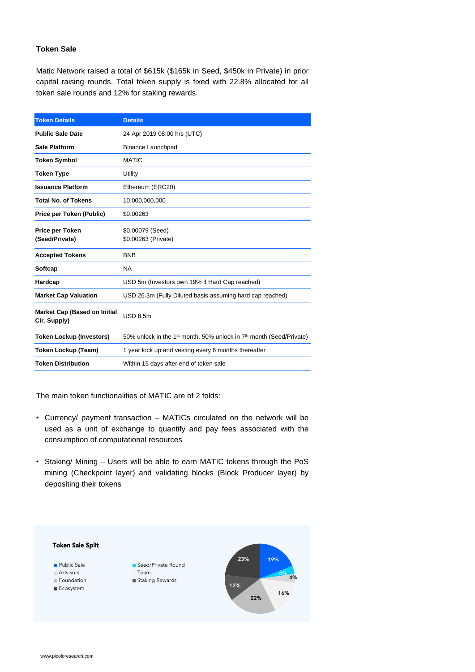Matic Network raised a total of \$615k (\$165k in Seed, \$450k in Private) in prior capital raising rounds. Total token supply is fixed with 22.8% allocated for all token sale rounds and 12% for staking rewards.

#### **Token Sale**



The main token functionalities of MATIC are of 2 folds:

- Currency/ payment transaction MATICs circulated on the network will be used as a unit of exchange to quantify and pay fees associated with the consumption of computational resources
- Staking/ Mining Users will be able to earn MATIC tokens through the PoS mining (Checkpoint layer) and validating blocks (Block Producer layer) by depositing their tokens

| <b>Token Details</b>                                       | <b>Details</b>                                                                              |  |
|------------------------------------------------------------|---------------------------------------------------------------------------------------------|--|
| <b>Public Sale Date</b>                                    | 24 Apr 2019 08:00 hrs (UTC)                                                                 |  |
| <b>Sale Platform</b>                                       | <b>Binance Launchpad</b>                                                                    |  |
| <b>Token Symbol</b>                                        | <b>MATIC</b>                                                                                |  |
| <b>Token Type</b>                                          | <b>Utility</b>                                                                              |  |
| <b>Issuance Platform</b>                                   | Ethereum (ERC20)                                                                            |  |
| <b>Total No. of Tokens</b>                                 | 10,000,000,000                                                                              |  |
| <b>Price per Token (Public)</b>                            | \$0.00263                                                                                   |  |
| <b>Price per Token</b><br>(Seed/Private)                   | \$0.00079 (Seed)<br>\$0.00263 (Private)                                                     |  |
| <b>Accepted Tokens</b>                                     | <b>BNB</b>                                                                                  |  |
| <b>Softcap</b>                                             | <b>NA</b>                                                                                   |  |
| <b>Hardcap</b>                                             | USD 5m (Investors own 19% if Hard Cap reached)                                              |  |
| <b>Market Cap Valuation</b>                                | USD 26.3m (Fully Diluted basis assuming hard cap reached)                                   |  |
| <b>Market Cap (Based on Initial</b><br><b>Cir. Supply)</b> | <b>USD 8.5m</b>                                                                             |  |
| <b>Token Lockup (Investors)</b>                            | 50% unlock in the 1 <sup>st</sup> month, 50% unlock in 7 <sup>th</sup> month (Seed/Private) |  |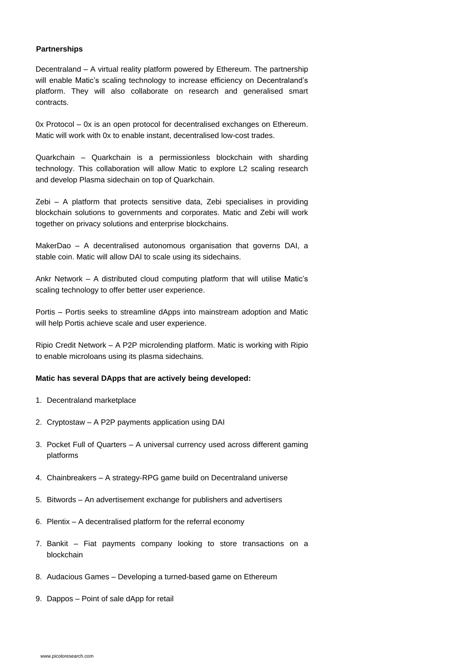Decentraland – A virtual reality platform powered by Ethereum. The partnership will enable Matic's scaling technology to increase efficiency on Decentraland's platform. They will also collaborate on research and generalised smart contracts.

0x Protocol – 0x is an open protocol for decentralised exchanges on Ethereum. Matic will work with 0x to enable instant, decentralised low-cost trades.

Quarkchain – Quarkchain is a permissionless blockchain with sharding technology. This collaboration will allow Matic to explore L2 scaling research

Portis – Portis seeks to streamline dApps into mainstream adoption and Matic will help Portis achieve scale and user experience.

and develop Plasma sidechain on top of Quarkchain.

Zebi – A platform that protects sensitive data, Zebi specialises in providing blockchain solutions to governments and corporates. Matic and Zebi will work together on privacy solutions and enterprise blockchains.

MakerDao – A decentralised autonomous organisation that governs DAI, a stable coin. Matic will allow DAI to scale using its sidechains.

Ankr Network – A distributed cloud computing platform that will utilise Matic's scaling technology to offer better user experience.

Ripio Credit Network – A P2P microlending platform. Matic is working with Ripio to enable microloans using its plasma sidechains.

**Matic has several DApps that are actively being developed:**

1. Decentraland marketplace

- 2. Cryptostaw A P2P payments application using DAI
- 3. Pocket Full of Quarters A universal currency used across different gaming platforms
- 4. Chainbreakers A strategy-RPG game build on Decentraland universe
- 5. Bitwords An advertisement exchange for publishers and advertisers

6. Plentix – A decentralised platform for the referral economy

- 7. Bankit Fiat payments company looking to store transactions on a blockchain
- 8. Audacious Games Developing a turned-based game on Ethereum
- 9. Dappos Point of sale dApp for retail

#### **Partnerships**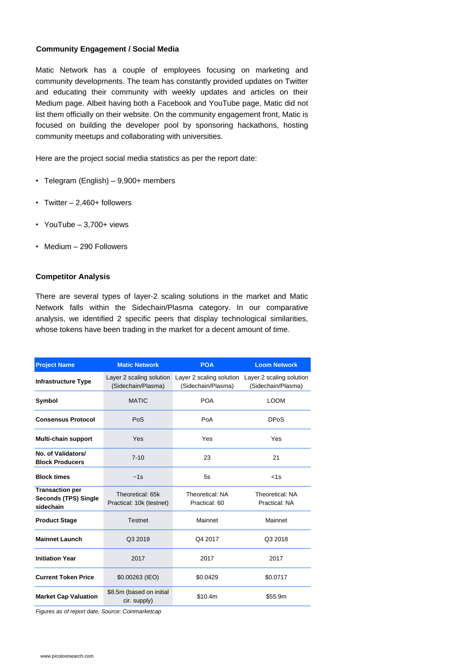## **Community Engagement / Social Media**

## **Competitor Analysis**

Matic Network has a couple of employees focusing on marketing and community developments. The team has constantly provided updates on Twitter and educating their community with weekly updates and articles on their Medium page. Albeit having both a Facebook and YouTube page, Matic did not list them officially on their website. On the community engagement front, Matic is focused on building the developer pool by sponsoring hackathons, hosting community meetups and collaborating with universities.

Here are the project social media statistics as per the report date:

- Telegram (English) 9,900+ members
- Twitter  $-2,460+$  followers
- YouTube 3,700+ views
- Medium 290 Followers

| <b>Project Name</b>                                                | <b>Matic Network</b>                           | <b>POA</b>                                     | <b>Loom Network</b>                            |
|--------------------------------------------------------------------|------------------------------------------------|------------------------------------------------|------------------------------------------------|
| <b>Infrastructure Type</b>                                         | Layer 2 scaling solution<br>(Sidechain/Plasma) | Layer 2 scaling solution<br>(Sidechain/Plasma) | Layer 2 scaling solution<br>(Sidechain/Plasma) |
| <b>Symbol</b>                                                      | <b>MATIC</b>                                   | <b>POA</b>                                     | LOOM                                           |
| <b>Consensus Protocol</b>                                          | <b>PoS</b>                                     | PoA                                            | <b>DPoS</b>                                    |
| <b>Multi-chain support</b>                                         | Yes                                            | Yes                                            | Yes                                            |
| No. of Validators/<br><b>Block Producers</b>                       | $7 - 10$                                       | 23                                             | 21                                             |
| <b>Block times</b>                                                 | $\sim$ 1s                                      | 5s                                             | $\le$ 1s                                       |
| <b>Transaction per</b><br><b>Seconds (TPS) Single</b><br>sidechain | Theoretical: 65k<br>Practical: 10k (testnet)   | <b>Theoretical: NA</b><br>Practical: 60        | <b>Theoretical: NA</b><br><b>Practical: NA</b> |

| <b>Product Stage</b>        | <b>Testnet</b>                           | <b>Mainnet</b> | <b>Mainnet</b> |
|-----------------------------|------------------------------------------|----------------|----------------|
| <b>Mainnet Launch</b>       | Q3 2019                                  | Q4 2017        | Q3 2018        |
| <b>Initiation Year</b>      | 2017                                     | 2017           | 2017           |
| <b>Current Token Price</b>  | \$0.00263 (IEO)                          | \$0.0429       | \$0.0717       |
| <b>Market Cap Valuation</b> | \$8.5m (based on initial<br>cir. supply) | \$10.4m        | \$55.9m        |

There are several types of layer-2 scaling solutions in the market and Matic Network falls within the Sidechain/Plasma category. In our comparative analysis, we identified 2 specific peers that display technological similarities, whose tokens have been trading in the market for a decent amount of time.

*Figures as of report date, Source: Coinmarketcap*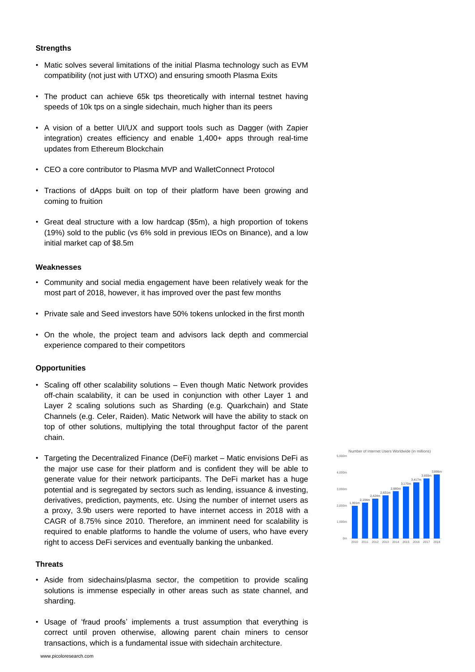## **Strengths**

- Community and social media engagement have been relatively weak for the most part of 2018, however, it has improved over the past few months
- Private sale and Seed investors have 50% tokens unlocked in the first month
- On the whole, the project team and advisors lack depth and commercial

#### **Weaknesses**

- Matic solves several limitations of the initial Plasma technology such as EVM compatibility (not just with UTXO) and ensuring smooth Plasma Exits
- The product can achieve 65k tps theoretically with internal testnet having speeds of 10k tps on a single sidechain, much higher than its peers
- A vision of a better UI/UX and support tools such as Dagger (with Zapier integration) creates efficiency and enable 1,400+ apps through real-time updates from Ethereum Blockchain
- CEO a core contributor to Plasma MVP and WalletConnect Protocol

- Scaling off other scalability solutions Even though Matic Network provides off-chain scalability, it can be used in conjunction with other Layer 1 and Layer 2 scaling solutions such as Sharding (e.g. Quarkchain) and State Channels (e.g. Celer, Raiden). Matic Network will have the ability to stack on top of other solutions, multiplying the total throughput factor of the parent chain.
- Targeting the Decentralized Finance (DeFi) market Matic envisions DeFi as the major use case for their platform and is confident they will be able to generate value for their network participants. The DeFi market has a huge potential and is segregated by sectors such as lending, issuance & investing, derivatives, prediction, payments, etc. Using the number of internet users as a proxy, 3.9b users were reported to have internet access in 2018 with a
- Tractions of dApps built on top of their platform have been growing and coming to fruition
- Great deal structure with a low hardcap (\$5m), a high proportion of tokens (19%) sold to the public (vs 6% sold in previous IEOs on Binance), and a low initial market cap of \$8.5m

CAGR of 8.75% since 2010. Therefore, an imminent need for scalability is required to enable platforms to handle the volume of users, who have every right to access DeFi services and eventually banking the unbanked.

# **Opportunities**



- Aside from sidechains/plasma sector, the competition to provide scaling solutions is immense especially in other areas such as state channel, and sharding.
- Usage of 'fraud proofs' implements a trust assumption that everything is correct until proven otherwise, allowing parent chain miners to censor transactions, which is a fundamental issue with sidechain architecture.

## **Threats**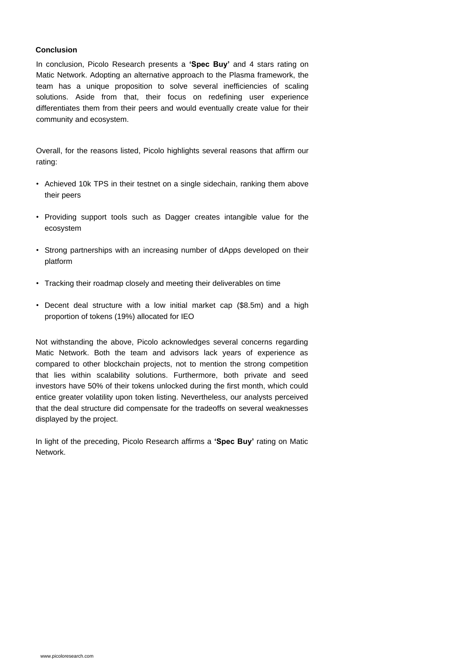In conclusion, Picolo Research presents a **'Spec Buy'** and 4 stars rating on Matic Network. Adopting an alternative approach to the Plasma framework, the team has a unique proposition to solve several inefficiencies of scaling solutions. Aside from that, their focus on redefining user experience differentiates them from their peers and would eventually create value for their community and ecosystem.

#### **Conclusion**

Overall, for the reasons listed, Picolo highlights several reasons that affirm our rating:

- Achieved 10k TPS in their testnet on a single sidechain, ranking them above their peers
- Providing support tools such as Dagger creates intangible value for the ecosystem
- $\sum_{\alpha}$ conservative exposure acknowledging potentially contact the potential original  $p$ • Strong partnerships with an increasing number of dApps developed on their platform
- Tracking their roadmap closely and meeting their deliverables on time
- Decent deal structure with a low initial market cap (\$8.5m) and a high proportion of tokens (19%) allocated for IEO

Not withstanding the above, Picolo acknowledges several concerns regarding

Matic Network. Both the team and advisors lack years of experience as compared to other blockchain projects, not to mention the strong competition that lies within scalability solutions. Furthermore, both private and seed investors have 50% of their tokens unlocked during the first month, which could entice greater volatility upon token listing. Nevertheless, our analysts perceived that the deal structure did compensate for the tradeoffs on several weaknesses displayed by the project.

In light of the preceding, Picolo Research affirms a **'Spec Buy'** rating on Matic Network.